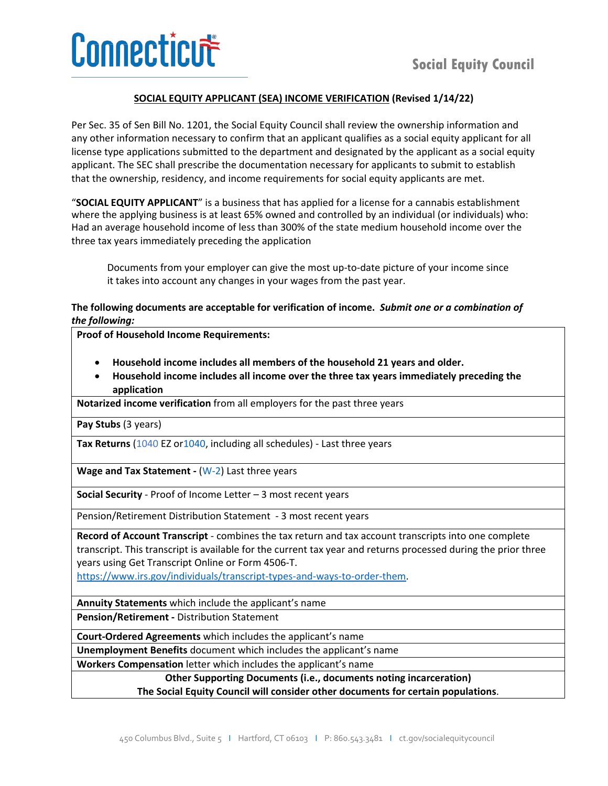## **SOCIAL EQUITY APPLICANT (SEA) INCOME VERIFICATION (Revised 1/14/22)**

Per Sec. 35 of Sen Bill No. 1201, the Social Equity Council shall review the ownership information and any other information necessary to confirm that an applicant qualifies as a social equity applicant for all license type applications submitted to the department and designated by the applicant as a social equity applicant. The SEC shall prescribe the documentation necessary for applicants to submit to establish that the ownership, residency, and income requirements for social equity applicants are met.

"**SOCIAL EQUITY APPLICANT**" is a business that has applied for a license for a cannabis establishment where the applying business is at least 65% owned and controlled by an individual (or individuals) who: Had an average household income of less than 300% of the state medium household income over the three tax years immediately preceding the application

Documents from your employer can give the most up-to-date picture of your income since it takes into account any changes in your wages from the past year.

## **The following documents are acceptable for verification of income.** *Submit one or a combination of the following:*

**Proof of Household Income Requirements:** 

- **Household income includes all members of the household 21 years and older.**
- **Household income includes all income over the three tax years immediately preceding the application**

**Notarized income verification** from all employers for the past three years

**Pay Stubs** (3 years)

Tax Returns (1040 EZ o[r1040,](https://gcc02.safelinks.protection.outlook.com/?url=https%3A%2F%2Fwww.irs.gov%2Fforms-pubs%2Fabout-form-1040&data=04%7C01%7CGinne-Rae.Clay%40ct.gov%7C3931cb4b64bb4db678f208d9d75b1e29%7C118b7cfaa3dd48b9b02631ff69bb738b%7C0%7C0%7C637777608629256342%7CUnknown%7CTWFpbGZsb3d8eyJWIjoiMC4wLjAwMDAiLCJQIjoiV2luMzIiLCJBTiI6Ik1haWwiLCJXVCI6Mn0%3D%7C3000&sdata=RT0ySNcVKEDRaXCLdaOcQPWN%2FBswy88Ux9bFwOuA3zw%3D&reserved=0) including all schedules) - Last three years

**Wage and Tax Statement -** [\(W-2\)](https://gcc02.safelinks.protection.outlook.com/?url=https%3A%2F%2Fwww.irs.gov%2Fforms-pubs%2Fabout-form-w2&data=04%7C01%7CGinne-Rae.Clay%40ct.gov%7C3931cb4b64bb4db678f208d9d75b1e29%7C118b7cfaa3dd48b9b02631ff69bb738b%7C0%7C0%7C637777608629256342%7CUnknown%7CTWFpbGZsb3d8eyJWIjoiMC4wLjAwMDAiLCJQIjoiV2luMzIiLCJBTiI6Ik1haWwiLCJXVCI6Mn0%3D%7C3000&sdata=RQ2i6MJIuBnmxc1pYdSuKpI1z0E%2F1%2BcyDnY1O5hXzmc%3D&reserved=0) Last three years

**Social Security** - Proof of Income Letter – 3 most recent years

Pension/Retirement Distribution Statement  - 3 most recent years

**Record of Account Transcript** - combines the tax return and tax account transcripts into one complete transcript. This transcript is available for the current tax year and returns processed during the prior three years using Get Transcript Online or Form 4506-T.

[https://www.irs.gov/individuals/transcript-types-and-ways-to-order-them.](https://www.irs.gov/individuals/transcript-types-and-ways-to-order-them)

**Annuity Statements** which include the applicant's name

**Pension/Retirement -** Distribution Statement 

**Court-Ordered Agreements** which includes the applicant's name

**Unemployment Benefits** document which includes the applicant's name

**Workers Compensation** letter which includes the applicant's name

**Other Supporting Documents (i.e., documents noting incarceration)**

**The Social Equity Council will consider other documents for certain populations**.